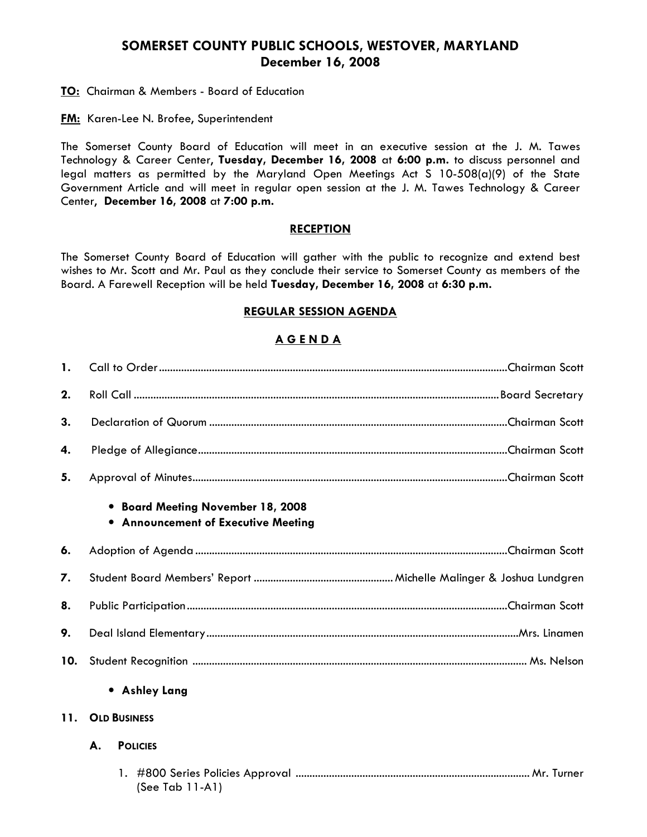# SOMERSET COUNTY PUBLIC SCHOOLS, WESTOVER, MARYLAND December 16, 2008

**TO:** Chairman & Members - Board of Education

**FM:** Karen-Lee N. Brofee, Superintendent

The Somerset County Board of Education will meet in an executive session at the J. M. Tawes Technology & Career Center, Tuesday, December 16, 2008 at 6:00 p.m. to discuss personnel and legal matters as permitted by the Maryland Open Meetings Act S 10-508(a)(9) of the State Government Article and will meet in regular open session at the J. M. Tawes Technology & Career Center, December 16, 2008 at 7:00 p.m.

### **RECEPTION**

The Somerset County Board of Education will gather with the public to recognize and extend best wishes to Mr. Scott and Mr. Paul as they conclude their service to Somerset County as members of the Board. A Farewell Reception will be held Tuesday, December 16, 2008 at 6:30 p.m.

#### REGULAR SESSION AGENDA

### A G E N D A

| $\mathbf{1}$ . |                                                                          |  |  |  |
|----------------|--------------------------------------------------------------------------|--|--|--|
| 2.             |                                                                          |  |  |  |
| 3.             |                                                                          |  |  |  |
| 4.             |                                                                          |  |  |  |
| 5.             |                                                                          |  |  |  |
|                | • Board Meeting November 18, 2008<br>• Announcement of Executive Meeting |  |  |  |
| 6.             |                                                                          |  |  |  |
| 7.             |                                                                          |  |  |  |
| 8.             |                                                                          |  |  |  |
| 9.             |                                                                          |  |  |  |
| 10.            |                                                                          |  |  |  |
|                | • Ashley Lang                                                            |  |  |  |
| 11.            | <b>OLD BUSINESS</b>                                                      |  |  |  |
|                | А.<br><b>POLICIES</b>                                                    |  |  |  |
|                | (See Tab $11-A1$ )                                                       |  |  |  |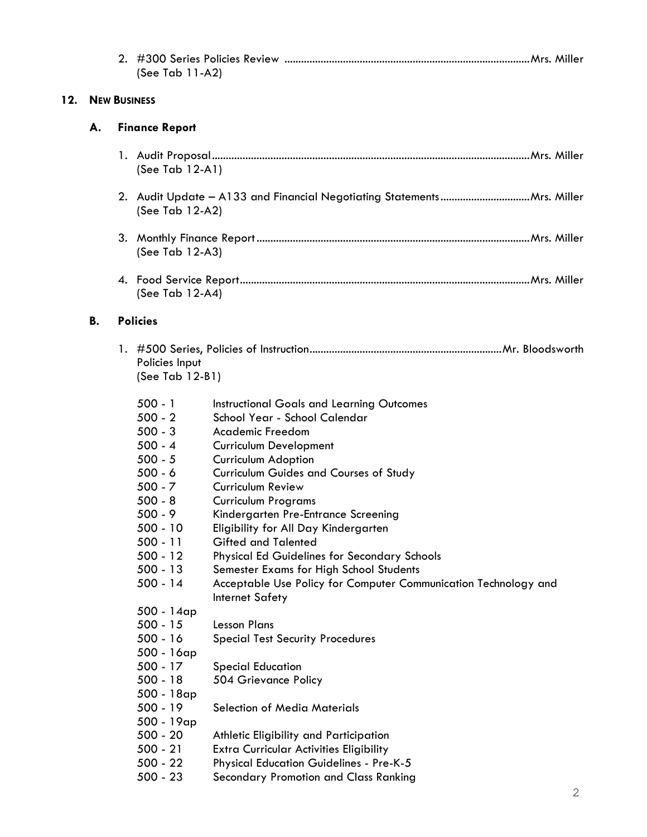|     |           |                       | (See Tab 11-A2)                                                                                                                                                                                                     |                                                                                                                                                                                                                                                                                                                                                                                                                                                                                                                                                                                               |  |  |
|-----|-----------|-----------------------|---------------------------------------------------------------------------------------------------------------------------------------------------------------------------------------------------------------------|-----------------------------------------------------------------------------------------------------------------------------------------------------------------------------------------------------------------------------------------------------------------------------------------------------------------------------------------------------------------------------------------------------------------------------------------------------------------------------------------------------------------------------------------------------------------------------------------------|--|--|
| 12. |           | <b>NEW BUSINESS</b>   |                                                                                                                                                                                                                     |                                                                                                                                                                                                                                                                                                                                                                                                                                                                                                                                                                                               |  |  |
|     | А.        | <b>Finance Report</b> |                                                                                                                                                                                                                     |                                                                                                                                                                                                                                                                                                                                                                                                                                                                                                                                                                                               |  |  |
|     |           |                       | (See Tab $12-A1$ )                                                                                                                                                                                                  |                                                                                                                                                                                                                                                                                                                                                                                                                                                                                                                                                                                               |  |  |
|     |           |                       | (See Tab 12-A2)                                                                                                                                                                                                     |                                                                                                                                                                                                                                                                                                                                                                                                                                                                                                                                                                                               |  |  |
|     |           |                       | (See Tab 12-A3)                                                                                                                                                                                                     |                                                                                                                                                                                                                                                                                                                                                                                                                                                                                                                                                                                               |  |  |
|     |           |                       | (See Tab 12-A4)                                                                                                                                                                                                     |                                                                                                                                                                                                                                                                                                                                                                                                                                                                                                                                                                                               |  |  |
|     | <b>B.</b> |                       | <b>Policies</b>                                                                                                                                                                                                     |                                                                                                                                                                                                                                                                                                                                                                                                                                                                                                                                                                                               |  |  |
|     |           |                       | Policies Input<br>(See Tab 12-B1)                                                                                                                                                                                   |                                                                                                                                                                                                                                                                                                                                                                                                                                                                                                                                                                                               |  |  |
|     |           |                       | $500 - 1$<br>$500 - 2$<br>$500 - 3$<br>$500 - 4$<br>$500 - 5$<br>$500 - 6$<br>$500 - 7$<br>$500 - 8$<br>$500 - 9$<br>$500 - 10$<br>$500 - 11$<br>$500 - 12$<br>$500 - 13$<br>$500 - 14$<br>500 - 14ap<br>$500 - 15$ | <b>Instructional Goals and Learning Outcomes</b><br>School Year - School Calendar<br>Academic Freedom<br><b>Curriculum Development</b><br>Curriculum Adoption<br><b>Curriculum Guides and Courses of Study</b><br>Curriculum Review<br><b>Curriculum Programs</b><br>Kindergarten Pre-Entrance Screening<br>Eligibility for All Day Kindergarten<br><b>Gifted and Talented</b><br><b>Physical Ed Guidelines for Secondary Schools</b><br>Semester Exams for High School Students<br>Acceptable Use Policy for Computer Communication Technology and<br>Internet Safety<br><b>Lesson Plans</b> |  |  |
|     |           |                       | $500 - 16$<br>500 - 16ap<br>$500 - 17$<br>$500 - 18$<br>500 - 18ap<br>$500 - 19$<br>500 - 19ap<br>$500 - 20$<br>$500 - 21$<br>$500 - 22$<br>$500 - 23$                                                              | <b>Special Test Security Procedures</b><br><b>Special Education</b><br>504 Grievance Policy<br>Selection of Media Materials<br>Athletic Eligibility and Participation<br><b>Extra Curricular Activities Eligibility</b><br><b>Physical Education Guidelines - Pre-K-5</b><br>Secondary Promotion and Class Ranking                                                                                                                                                                                                                                                                            |  |  |

 $12.$